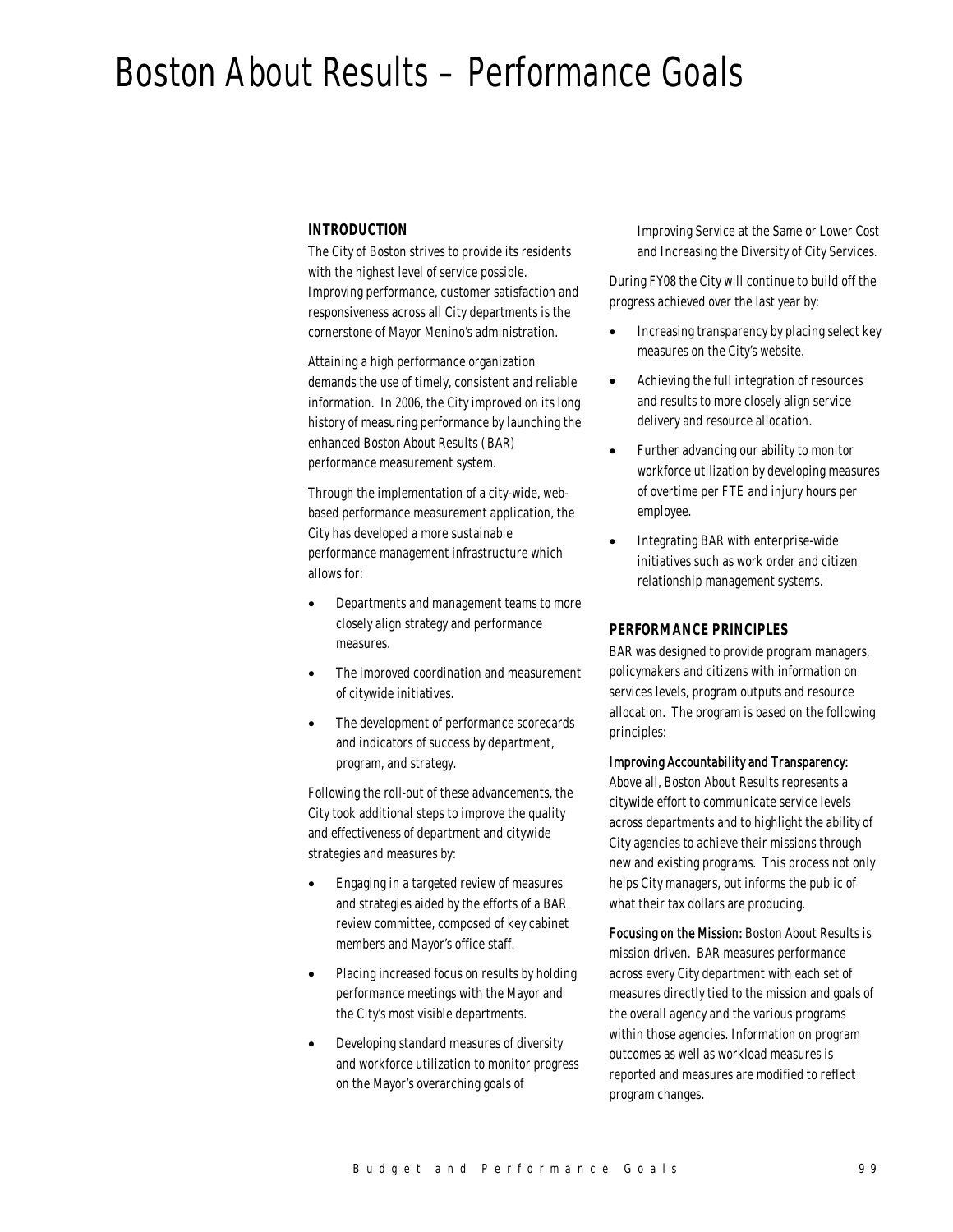# Boston About Results – Performance Goals

#### *INTRODUCTION*

The City of Boston strives to provide its residents with the highest level of service possible. Improving performance, customer satisfaction and responsiveness across all City departments is the cornerstone of Mayor Menino's administration.

Attaining a high performance organization demands the use of timely, consistent and reliable information. In 2006, the City improved on its long history of measuring performance by launching the enhanced Boston About Results (BAR) performance measurement system.

Through the implementation of a city-wide, webbased performance measurement application, the City has developed a more sustainable performance management infrastructure which allows for:

- Departments and management teams to more closely align strategy and performance measures.
- The improved coordination and measurement of citywide initiatives.
- The development of performance scorecards and indicators of success by department, program, and strategy.

Following the roll-out of these advancements, the City took additional steps to improve the quality and effectiveness of department and citywide strategies and measures by:

- Engaging in a targeted review of measures and strategies aided by the efforts of a BAR review committee, composed of key cabinet members and Mayor's office staff.
- Placing increased focus on results by holding performance meetings with the Mayor and the City's most visible departments.
- Developing standard measures of diversity and workforce utilization to monitor progress on the Mayor's overarching goals of

Improving Service at the Same or Lower Cost and Increasing the Diversity of City Services.

During FY08 the City will continue to build off the progress achieved over the last year by:

- Increasing transparency by placing select key measures on the City's website.
- Achieving the full integration of resources and results to more closely align service delivery and resource allocation.
- Further advancing our ability to monitor workforce utilization by developing measures of overtime per FTE and injury hours per employee.
- Integrating BAR with enterprise-wide initiatives such as work order and citizen relationship management systems.

#### *PERFORMANCE PRINCIPLES*

BAR was designed to provide program managers, policymakers and citizens with information on services levels, program outputs and resource allocation. The program is based on the following principles:

#### Improving Accountability and Transparency:

Above all, Boston About Results represents a citywide effort to communicate service levels across departments and to highlight the ability of City agencies to achieve their missions through new and existing programs. This process not only helps City managers, but informs the public of what their tax dollars are producing.

Focusing on the Mission: Boston About Results is mission driven. BAR measures performance across every City department with each set of measures directly tied to the mission and goals of the overall agency and the various programs within those agencies. Information on program outcomes as well as workload measures is reported and measures are modified to reflect program changes.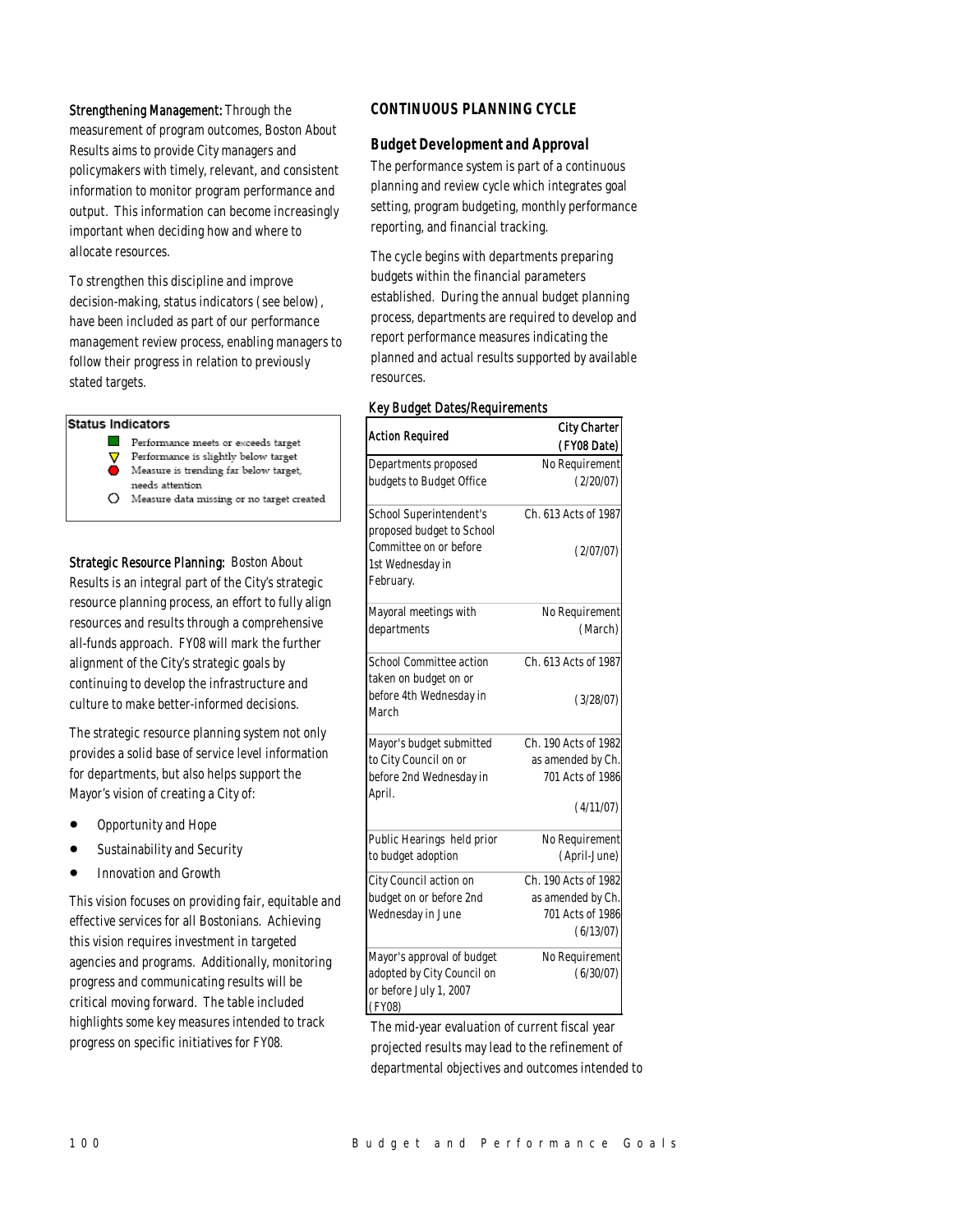#### Strengthening Management: Through the

measurement of program outcomes, Boston About Results aims to provide City managers and policymakers with timely, relevant, and consistent information to monitor program performance and output. This information can become increasingly important when deciding how and where to allocate resources.

To strengthen this discipline and improve decision-making, status indicators (see below), have been included as part of our performance management review process, enabling managers to follow their progress in relation to previously stated targets.

#### Status Indicators

- Performance meets or exceeds target
- Performance is slightly below target ν
- Measure is trending far below target, needs attention
- 
- $O$  Measure data missing or no target created

Strategic Resource Planning: Boston About Results is an integral part of the City's strategic resource planning process, an effort to fully align resources and results through a comprehensive all-funds approach. FY08 will mark the further alignment of the City's strategic goals by continuing to develop the infrastructure and culture to make better-informed decisions.

The strategic resource planning system not only provides a solid base of service level information for departments, but also helps support the Mayor's vision of creating a City of:

- Opportunity and Hope
- Sustainability and Security
- Innovation and Growth

This vision focuses on providing fair, equitable and effective services for all Bostonians. Achieving this vision requires investment in targeted agencies and programs. Additionally, monitoring progress and communicating results will be critical moving forward. The table included highlights some key measures intended to track progress on specific initiatives for FY08.

#### *CONTINUOUS PLANNING CYCLE*

#### *Budget Development and Approval*

The performance system is part of a continuous planning and review cycle which integrates goal setting, program budgeting, monthly performance reporting, and financial tracking.

The cycle begins with departments preparing budgets within the financial parameters established. During the annual budget planning process, departments are required to develop and report performance measures indicating the planned and actual results supported by available resources.

#### Key Budget Dates/Requirements

| <b>Action Required</b>                                  | <b>City Charter</b>  |  |
|---------------------------------------------------------|----------------------|--|
|                                                         | (FY08 Date)          |  |
| Departments proposed                                    | No Requirement       |  |
| budgets to Budget Office                                | (2/20/07)            |  |
| School Superintendent's<br>proposed budget to School    | Ch. 613 Acts of 1987 |  |
| Committee on or before<br>1st Wednesday in<br>February. | (2/07/07)            |  |
| Mayoral meetings with                                   | No Requirement       |  |
| departments                                             | (March)              |  |
| School Committee action<br>taken on budget on or        | Ch. 613 Acts of 1987 |  |
| before 4th Wednesday in<br>March                        | (3/28/07)            |  |
| Mayor's budget submitted                                | Ch. 190 Acts of 1982 |  |
| to City Council on or                                   | as amended by Ch.    |  |
| before 2nd Wednesday in<br>April.                       | 701 Acts of 1986     |  |
|                                                         | (4/11/07)            |  |
| Public Hearings held prior                              | No Requirement       |  |
| to budget adoption                                      | (April-June)         |  |
| City Council action on                                  | Ch. 190 Acts of 1982 |  |
| budget on or before 2nd                                 | as amended by Ch.    |  |
| Wednesday in June                                       | 701 Acts of 1986     |  |
|                                                         | (6/13/07)            |  |
| Mayor's approval of budget                              | No Requirement       |  |
| adopted by City Council on                              | (6/30/07)            |  |
| or before July 1, 2007                                  |                      |  |
| (FY08)                                                  |                      |  |

The mid-year evaluation of current fiscal year projected results may lead to the refinement of departmental objectives and outcomes intended to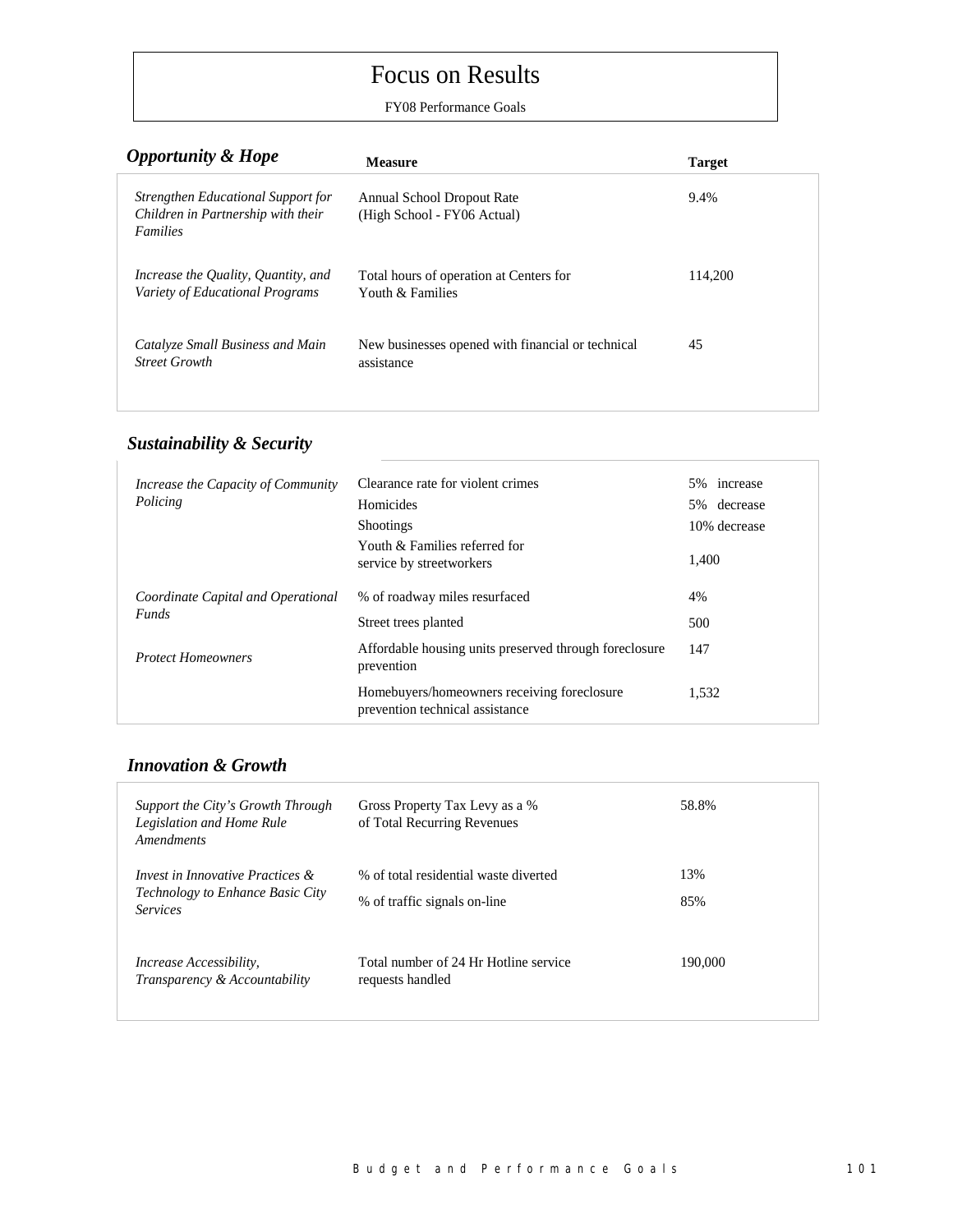# Focus on Results

FY08 Performance Goals

| <b>Opportunity &amp; Hope</b>                                                               | <b>Measure</b>                                                  | <b>Target</b> |
|---------------------------------------------------------------------------------------------|-----------------------------------------------------------------|---------------|
| Strengthen Educational Support for<br>Children in Partnership with their<br><b>Families</b> | Annual School Dropout Rate<br>(High School - FY06 Actual)       | 9.4%          |
| Increase the Quality, Quantity, and<br>Variety of Educational Programs                      | Total hours of operation at Centers for<br>Youth & Families     | 114.200       |
| Catalyze Small Business and Main<br><b>Street Growth</b>                                    | New businesses opened with financial or technical<br>assistance | 45            |
|                                                                                             |                                                                 |               |

## *Sustainability & Security*

| Increase the Capacity of Community                 | Clearance rate for violent crimes                                              | 5% increase  |
|----------------------------------------------------|--------------------------------------------------------------------------------|--------------|
| Policing                                           | Homicides                                                                      | 5% decrease  |
|                                                    | <b>Shootings</b>                                                               | 10% decrease |
|                                                    | Youth & Families referred for<br>service by streetworkers                      | 1.400        |
| Coordinate Capital and Operational<br><b>Funds</b> | % of roadway miles resurfaced                                                  | 4%           |
|                                                    | Street trees planted                                                           | 500          |
| <b>Protect Homeowners</b>                          | Affordable housing units preserved through foreclosure<br>prevention           | 147          |
|                                                    | Homebuyers/homeowners receiving foreclosure<br>prevention technical assistance | 1.532        |

### *Innovation & Growth*

| Support the City's Growth Through<br>Legislation and Home Rule<br>Amendments                      | Gross Property Tax Levy as a %<br>of Total Recurring Revenues         | 58.8%      |
|---------------------------------------------------------------------------------------------------|-----------------------------------------------------------------------|------------|
| Invest in Innovative Practices $\&$<br><b>Technology to Enhance Basic City</b><br><i>Services</i> | % of total residential waste diverted<br>% of traffic signals on-line | 13%<br>85% |
| <i>Increase Accessibility.</i><br>Transparency & Accountability                                   | Total number of 24 Hr Hotline service<br>requests handled             | 190,000    |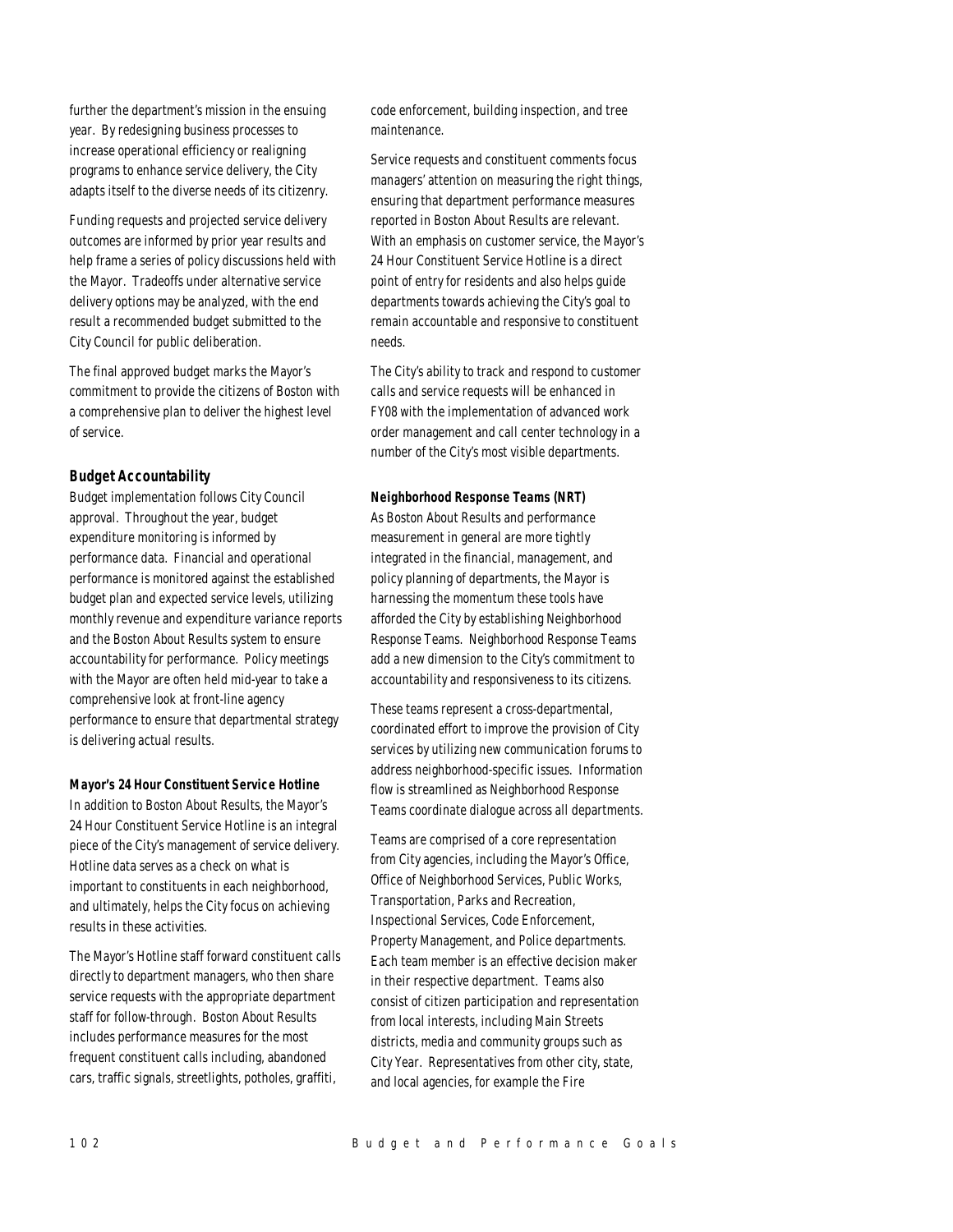further the department's mission in the ensuing year. By redesigning business processes to increase operational efficiency or realigning programs to enhance service delivery, the City adapts itself to the diverse needs of its citizenry.

Funding requests and projected service delivery outcomes are informed by prior year results and help frame a series of policy discussions held with the Mayor. Tradeoffs under alternative service delivery options may be analyzed, with the end result a recommended budget submitted to the City Council for public deliberation.

The final approved budget marks the Mayor's commitment to provide the citizens of Boston with a comprehensive plan to deliver the highest level of service.

#### *Budget Accountability*

Budget implementation follows City Council approval. Throughout the year, budget expenditure monitoring is informed by performance data. Financial and operational performance is monitored against the established budget plan and expected service levels, utilizing monthly revenue and expenditure variance reports and the Boston About Results system to ensure accountability for performance. Policy meetings with the Mayor are often held mid-year to take a comprehensive look at front-line agency performance to ensure that departmental strategy is delivering actual results.

#### *Mayor's 24 Hour Constituent Service Hotline*

In addition to Boston About Results, the Mayor's 24 Hour Constituent Service Hotline is an integral piece of the City's management of service delivery. Hotline data serves as a check on what is important to constituents in each neighborhood, and ultimately, helps the City focus on achieving results in these activities.

The Mayor's Hotline staff forward constituent calls directly to department managers, who then share service requests with the appropriate department staff for follow-through. Boston About Results includes performance measures for the most frequent constituent calls including, abandoned cars, traffic signals, streetlights, potholes, graffiti,

code enforcement, building inspection, and tree maintenance.

Service requests and constituent comments focus managers' attention on measuring the right things, ensuring that department performance measures reported in Boston About Results are relevant. With an emphasis on customer service, the Mayor's 24 Hour Constituent Service Hotline is a direct point of entry for residents and also helps guide departments towards achieving the City's goal to remain accountable and responsive to constituent needs.

The City's ability to track and respond to customer calls and service requests will be enhanced in FY08 with the implementation of advanced work order management and call center technology in a number of the City's most visible departments.

#### *Neighborhood Response Teams (NRT)*

As Boston About Results and performance measurement in general are more tightly integrated in the financial, management, and policy planning of departments, the Mayor is harnessing the momentum these tools have afforded the City by establishing Neighborhood Response Teams. Neighborhood Response Teams add a new dimension to the City's commitment to accountability and responsiveness to its citizens.

These teams represent a cross-departmental, coordinated effort to improve the provision of City services by utilizing new communication forums to address neighborhood-specific issues. Information flow is streamlined as Neighborhood Response Teams coordinate dialogue across all departments.

Teams are comprised of a core representation from City agencies, including the Mayor's Office, Office of Neighborhood Services, Public Works, Transportation, Parks and Recreation, Inspectional Services, Code Enforcement, Property Management, and Police departments. Each team member is an effective decision maker in their respective department. Teams also consist of citizen participation and representation from local interests, including Main Streets districts, media and community groups such as City Year. Representatives from other city, state, and local agencies, for example the Fire